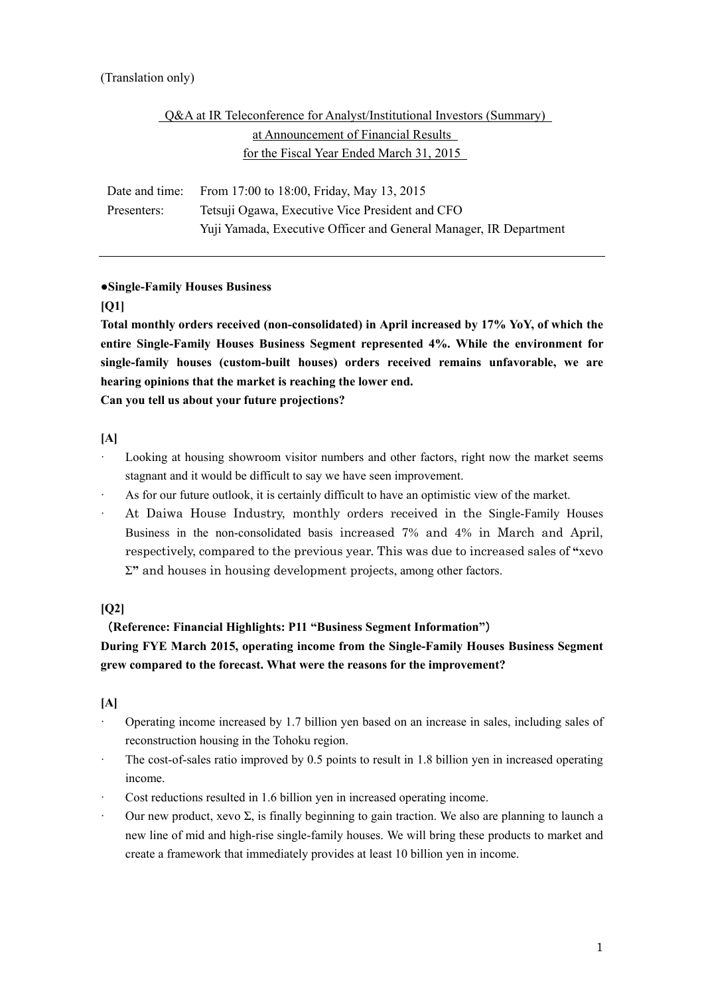# (Translation only)

# Q&A at IR Teleconference for Analyst/Institutional Investors (Summary) at Announcement of Financial Results for the Fiscal Year Ended March 31, 2015

 Date and time: From 17:00 to 18:00, Friday, May 13, 2015 Presenters: Tetsuji Ogawa, Executive Vice President and CFO Yuji Yamada, Executive Officer and General Manager, IR Department

# **●Single-Family Houses Business**

# **[Q1]**

**Total monthly orders received (non-consolidated) in April increased by 17% YoY, of which the entire Single-Family Houses Business Segment represented 4%. While the environment for single-family houses (custom-built houses) orders received remains unfavorable, we are hearing opinions that the market is reaching the lower end. Can you tell us about your future projections?** 

**[A]** 

- Looking at housing showroom visitor numbers and other factors, right now the market seems stagnant and it would be difficult to say we have seen improvement.
- · As for our future outlook, it is certainly difficult to have an optimistic view of the market.
- · At Daiwa House Industry, monthly orders received in the Single-Family Houses Business in the non-consolidated basis increased 7% and 4% in March and April, respectively, compared to the previous year. This was due to increased sales of **"**xevo Σ**"** and houses in housing development projects, among other factors.

# **[Q2]**

# (**Reference: Financial Highlights: P11 "Business Segment Information"**)

**During FYE March 2015, operating income from the Single-Family Houses Business Segment grew compared to the forecast. What were the reasons for the improvement?** 

- · Operating income increased by 1.7 billion yen based on an increase in sales, including sales of reconstruction housing in the Tohoku region.
- The cost-of-sales ratio improved by 0.5 points to result in 1.8 billion yen in increased operating income.
- Cost reductions resulted in 1.6 billion yen in increased operating income.
- Our new product, xevo Σ, is finally beginning to gain traction. We also are planning to launch a new line of mid and high-rise single-family houses. We will bring these products to market and create a framework that immediately provides at least 10 billion yen in income.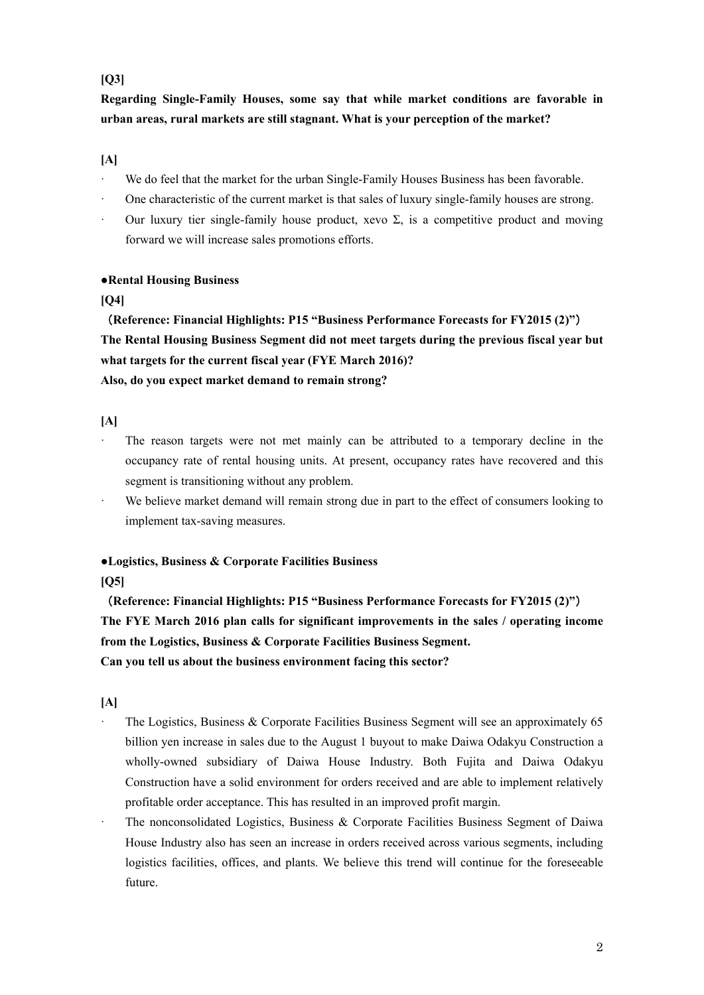# **[Q3]**

# **Regarding Single-Family Houses, some say that while market conditions are favorable in urban areas, rural markets are still stagnant. What is your perception of the market?**

# **[A]**

- We do feel that the market for the urban Single-Family Houses Business has been favorable.
- · One characteristic of the current market is that sales of luxury single-family houses are strong.
- Our luxury tier single-family house product, xevo Σ, is a competitive product and moving forward we will increase sales promotions efforts.

# **●Rental Housing Business**

# **[Q4]**

(**Reference: Financial Highlights: P15 "Business Performance Forecasts for FY2015 (2)"**) **The Rental Housing Business Segment did not meet targets during the previous fiscal year but what targets for the current fiscal year (FYE March 2016)? Also, do you expect market demand to remain strong?** 

# **[A]**

- The reason targets were not met mainly can be attributed to a temporary decline in the occupancy rate of rental housing units. At present, occupancy rates have recovered and this segment is transitioning without any problem.
- We believe market demand will remain strong due in part to the effect of consumers looking to implement tax-saving measures.

# **●Logistics, Business & Corporate Facilities Business**

### **[Q5]**

(**Reference: Financial Highlights: P15 "Business Performance Forecasts for FY2015 (2)"**) **The FYE March 2016 plan calls for significant improvements in the sales / operating income from the Logistics, Business & Corporate Facilities Business Segment. Can you tell us about the business environment facing this sector?** 

- The Logistics, Business & Corporate Facilities Business Segment will see an approximately 65 billion yen increase in sales due to the August 1 buyout to make Daiwa Odakyu Construction a wholly-owned subsidiary of Daiwa House Industry. Both Fujita and Daiwa Odakyu Construction have a solid environment for orders received and are able to implement relatively profitable order acceptance. This has resulted in an improved profit margin.
- · The nonconsolidated Logistics, Business & Corporate Facilities Business Segment of Daiwa House Industry also has seen an increase in orders received across various segments, including logistics facilities, offices, and plants. We believe this trend will continue for the foreseeable future.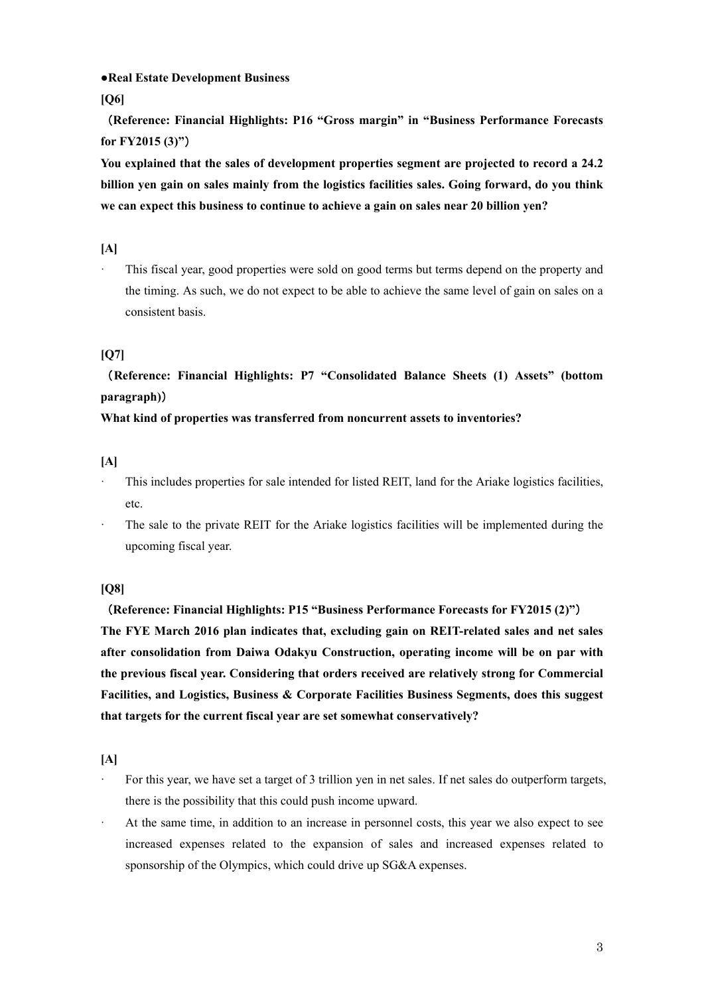**●Real Estate Development Business** 

**[Q6]** 

(**Reference: Financial Highlights: P16 "Gross margin" in "Business Performance Forecasts for FY2015 (3)"**)

**You explained that the sales of development properties segment are projected to record a 24.2 billion yen gain on sales mainly from the logistics facilities sales. Going forward, do you think we can expect this business to continue to achieve a gain on sales near 20 billion yen?** 

**[A]** 

This fiscal year, good properties were sold on good terms but terms depend on the property and the timing. As such, we do not expect to be able to achieve the same level of gain on sales on a consistent basis.

# **[Q7]**

(**Reference: Financial Highlights: P7 "Consolidated Balance Sheets (1) Assets" (bottom paragraph)**)

**What kind of properties was transferred from noncurrent assets to inventories?** 

**[A]** 

- This includes properties for sale intended for listed REIT, land for the Ariake logistics facilities, etc.
- The sale to the private REIT for the Ariake logistics facilities will be implemented during the upcoming fiscal year.

**[Q8]** 

(**Reference: Financial Highlights: P15 "Business Performance Forecasts for FY2015 (2)"**) **The FYE March 2016 plan indicates that, excluding gain on REIT-related sales and net sales after consolidation from Daiwa Odakyu Construction, operating income will be on par with the previous fiscal year. Considering that orders received are relatively strong for Commercial Facilities, and Logistics, Business & Corporate Facilities Business Segments, does this suggest that targets for the current fiscal year are set somewhat conservatively?** 

- · For this year, we have set a target of 3 trillion yen in net sales. If net sales do outperform targets, there is the possibility that this could push income upward.
- At the same time, in addition to an increase in personnel costs, this year we also expect to see increased expenses related to the expansion of sales and increased expenses related to sponsorship of the Olympics, which could drive up SG&A expenses.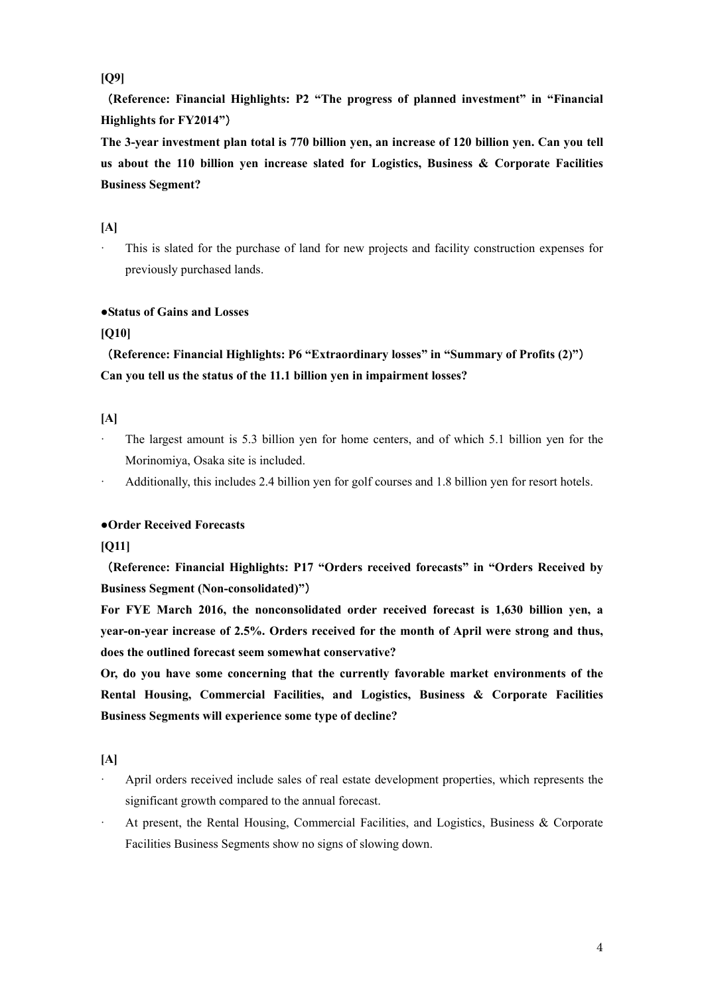**[Q9]** 

(**Reference: Financial Highlights: P2 "The progress of planned investment" in "Financial Highlights for FY2014"**)

**The 3-year investment plan total is 770 billion yen, an increase of 120 billion yen. Can you tell us about the 110 billion yen increase slated for Logistics, Business & Corporate Facilities Business Segment?** 

# **[A]**

· This is slated for the purchase of land for new projects and facility construction expenses for previously purchased lands.

# **●Status of Gains and Losses**

# **[Q10]**

(**Reference: Financial Highlights: P6 "Extraordinary losses" in "Summary of Profits (2)"**) **Can you tell us the status of the 11.1 billion yen in impairment losses?** 

# **[A]**

The largest amount is 5.3 billion yen for home centers, and of which 5.1 billion yen for the Morinomiya, Osaka site is included.

Additionally, this includes 2.4 billion yen for golf courses and 1.8 billion yen for resort hotels.

### **●Order Received Forecasts**

### **[Q11]**

(**Reference: Financial Highlights: P17 "Orders received forecasts" in "Orders Received by Business Segment (Non-consolidated)"**)

**For FYE March 2016, the nonconsolidated order received forecast is 1,630 billion yen, a year-on-year increase of 2.5%. Orders received for the month of April were strong and thus, does the outlined forecast seem somewhat conservative?** 

**Or, do you have some concerning that the currently favorable market environments of the Rental Housing, Commercial Facilities, and Logistics, Business & Corporate Facilities Business Segments will experience some type of decline?** 

- · April orders received include sales of real estate development properties, which represents the significant growth compared to the annual forecast.
- At present, the Rental Housing, Commercial Facilities, and Logistics, Business & Corporate Facilities Business Segments show no signs of slowing down.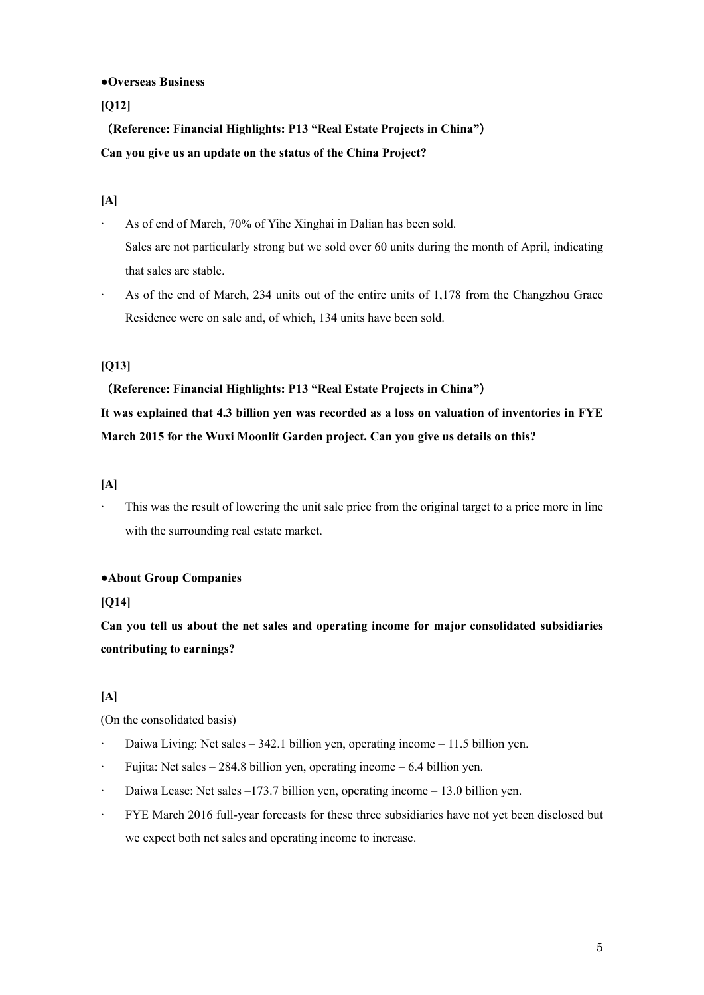#### **●Overseas Business**

**[Q12]** 

(**Reference: Financial Highlights: P13 "Real Estate Projects in China"**) **Can you give us an update on the status of the China Project?** 

# **[A]**

- As of end of March, 70% of Yihe Xinghai in Dalian has been sold. Sales are not particularly strong but we sold over 60 units during the month of April, indicating that sales are stable.
- · As of the end of March, 234 units out of the entire units of 1,178 from the Changzhou Grace Residence were on sale and, of which, 134 units have been sold.

# **[Q13]**

(**Reference: Financial Highlights: P13 "Real Estate Projects in China"**) **It was explained that 4.3 billion yen was recorded as a loss on valuation of inventories in FYE March 2015 for the Wuxi Moonlit Garden project. Can you give us details on this?** 

### **[A]**

This was the result of lowering the unit sale price from the original target to a price more in line with the surrounding real estate market.

# **●About Group Companies**

### **[Q14]**

**Can you tell us about the net sales and operating income for major consolidated subsidiaries contributing to earnings?** 

# **[A]**

(On the consolidated basis)

- · Daiwa Living: Net sales 342.1 billion yen, operating income 11.5 billion yen.
- Fujita: Net sales  $-284.8$  billion yen, operating income  $-6.4$  billion yen.
- · Daiwa Lease: Net sales –173.7 billion yen, operating income 13.0 billion yen.
- · FYE March 2016 full-year forecasts for these three subsidiaries have not yet been disclosed but we expect both net sales and operating income to increase.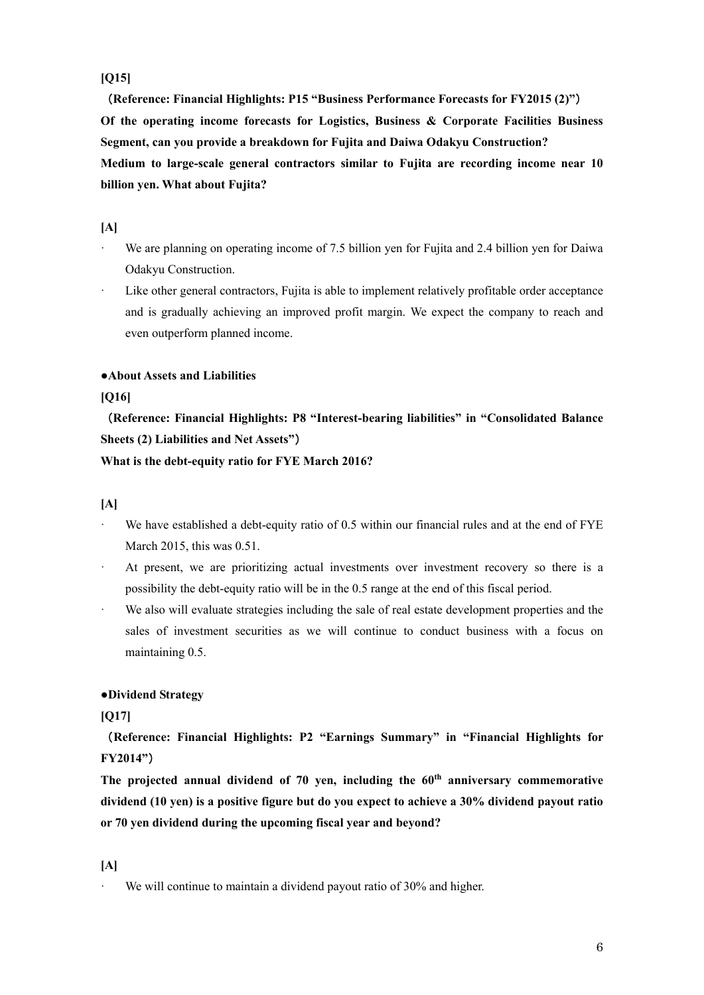# **[Q15]**

(**Reference: Financial Highlights: P15 "Business Performance Forecasts for FY2015 (2)"**) **Of the operating income forecasts for Logistics, Business & Corporate Facilities Business Segment, can you provide a breakdown for Fujita and Daiwa Odakyu Construction? Medium to large-scale general contractors similar to Fujita are recording income near 10 billion yen. What about Fujita?** 

#### **[A]**

- We are planning on operating income of 7.5 billion yen for Fujita and 2.4 billion yen for Daiwa Odakyu Construction.
- Like other general contractors, Fujita is able to implement relatively profitable order acceptance and is gradually achieving an improved profit margin. We expect the company to reach and even outperform planned income.

# **●About Assets and Liabilities**

#### **[Q16]**

(**Reference: Financial Highlights: P8 "Interest-bearing liabilities" in "Consolidated Balance Sheets (2) Liabilities and Net Assets"**)

**What is the debt-equity ratio for FYE March 2016?** 

#### **[A]**

- We have established a debt-equity ratio of 0.5 within our financial rules and at the end of FYE March 2015, this was 0.51.
- · At present, we are prioritizing actual investments over investment recovery so there is a possibility the debt-equity ratio will be in the 0.5 range at the end of this fiscal period.
- We also will evaluate strategies including the sale of real estate development properties and the sales of investment securities as we will continue to conduct business with a focus on maintaining 0.5.

### **●Dividend Strategy**

### **[Q17]**

(**Reference: Financial Highlights: P2 "Earnings Summary" in "Financial Highlights for FY2014"**)

The projected annual dividend of 70 yen, including the 60<sup>th</sup> anniversary commemorative **dividend (10 yen) is a positive figure but do you expect to achieve a 30% dividend payout ratio or 70 yen dividend during the upcoming fiscal year and beyond?** 

#### **[A]**

We will continue to maintain a dividend payout ratio of 30% and higher.